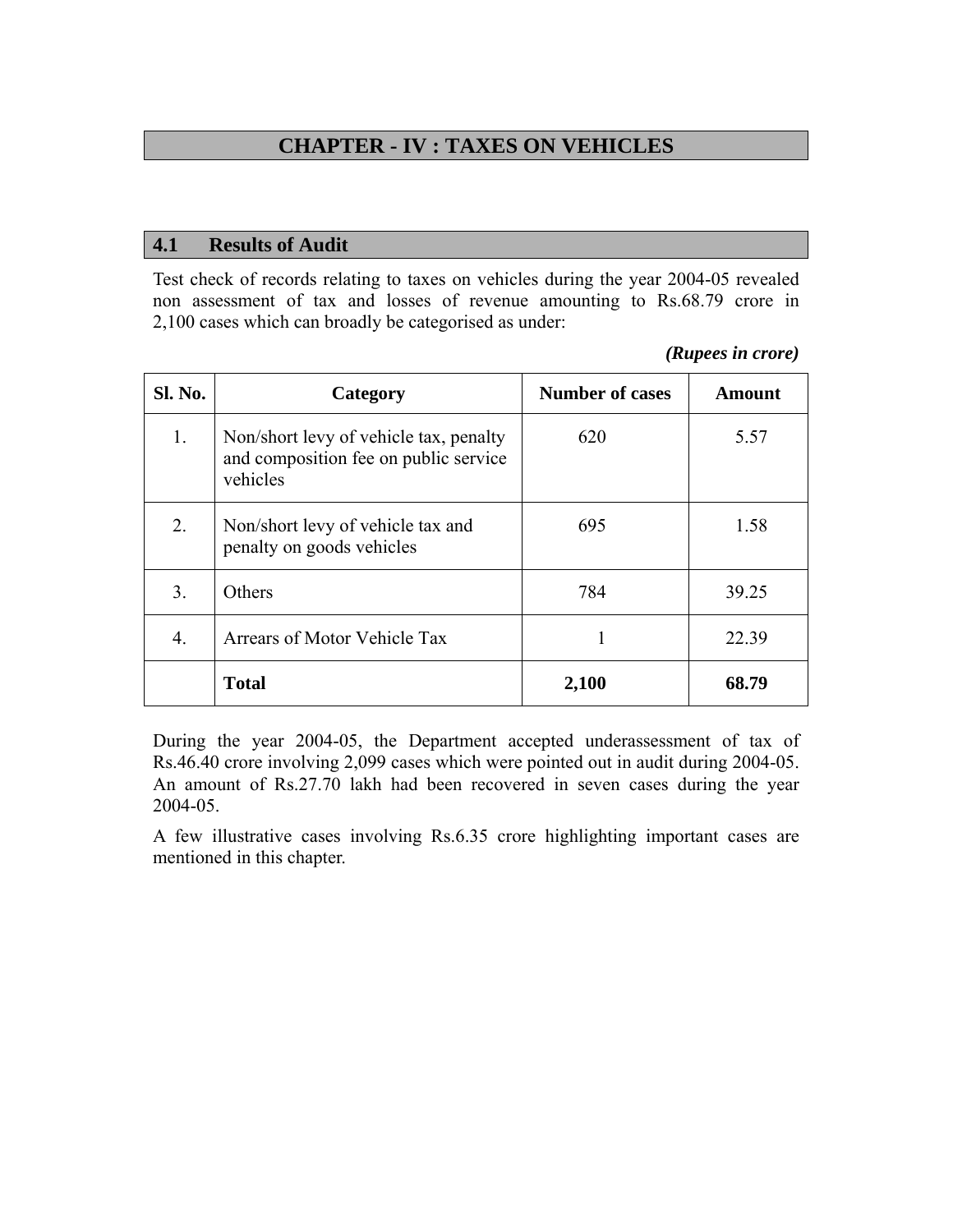# **CHAPTER - IV : TAXES ON VEHICLES**

#### **4.1 Results of Audit**

Test check of records relating to taxes on vehicles during the year 2004-05 revealed non assessment of tax and losses of revenue amounting to Rs.68.79 crore in 2,100 cases which can broadly be categorised as under:

#### *(Rupees in crore)*

| Sl. No. | Category                                                                                    | <b>Number of cases</b> | <b>Amount</b> |
|---------|---------------------------------------------------------------------------------------------|------------------------|---------------|
| 1.      | Non/short levy of vehicle tax, penalty<br>and composition fee on public service<br>vehicles | 620                    | 5.57          |
| 2.      | Non/short levy of vehicle tax and<br>penalty on goods vehicles                              | 695                    | 1.58          |
| 3.      | Others                                                                                      | 784                    | 39.25         |
| 4.      | Arrears of Motor Vehicle Tax                                                                |                        | 22.39         |
|         | <b>Total</b>                                                                                | 2,100                  | 68.79         |

During the year 2004-05, the Department accepted underassessment of tax of Rs.46.40 crore involving 2,099 cases which were pointed out in audit during 2004-05. An amount of Rs.27.70 lakh had been recovered in seven cases during the year 2004-05.

A few illustrative cases involving Rs.6.35 crore highlighting important cases are mentioned in this chapter.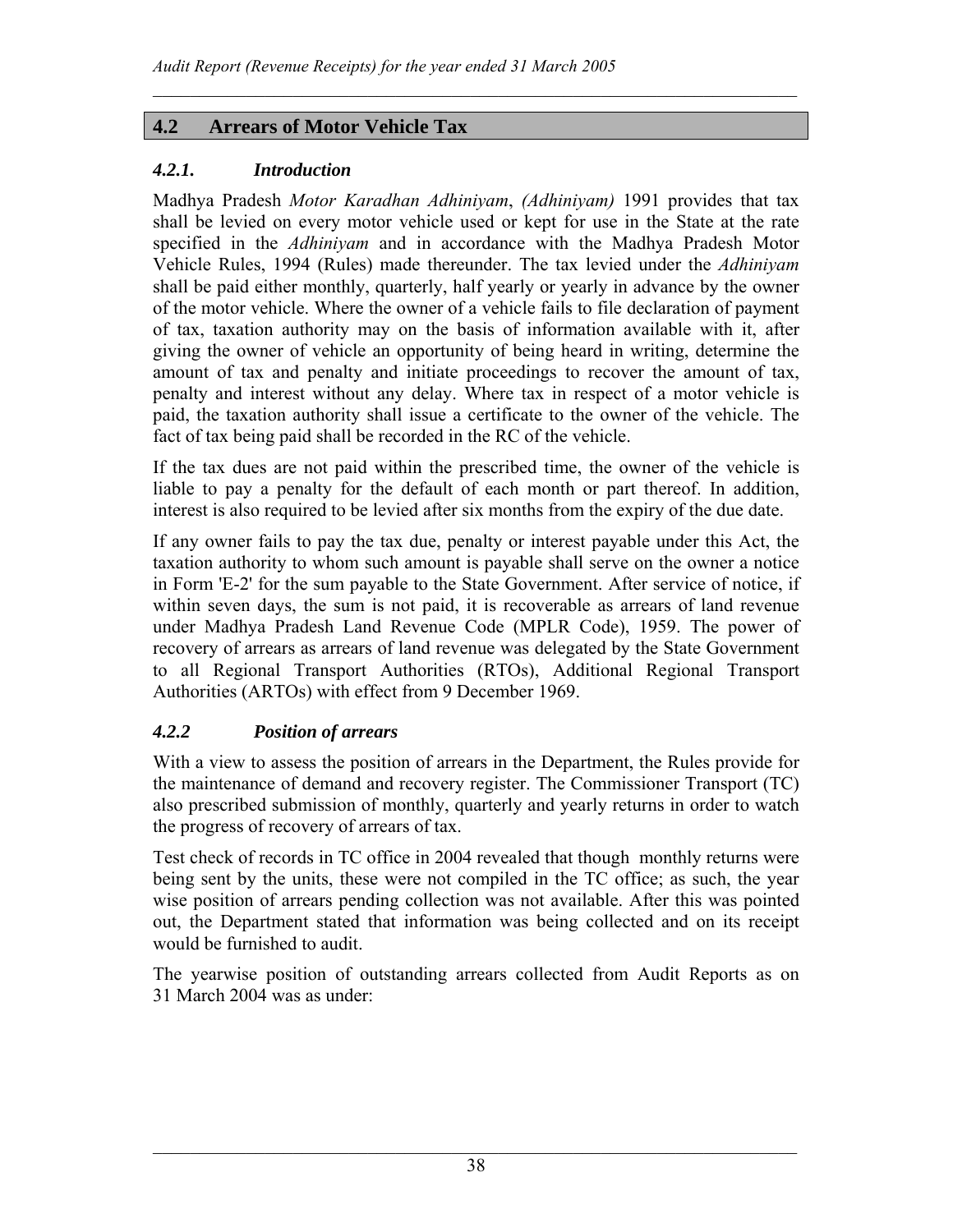## **4.2 Arrears of Motor Vehicle Tax**

#### *4.2.1. Introduction*

Madhya Pradesh *Motor Karadhan Adhiniyam*, *(Adhiniyam)* 1991 provides that tax shall be levied on every motor vehicle used or kept for use in the State at the rate specified in the *Adhiniyam* and in accordance with the Madhya Pradesh Motor Vehicle Rules, 1994 (Rules) made thereunder. The tax levied under the *Adhiniyam* shall be paid either monthly, quarterly, half yearly or yearly in advance by the owner of the motor vehicle. Where the owner of a vehicle fails to file declaration of payment of tax, taxation authority may on the basis of information available with it, after giving the owner of vehicle an opportunity of being heard in writing, determine the amount of tax and penalty and initiate proceedings to recover the amount of tax, penalty and interest without any delay. Where tax in respect of a motor vehicle is paid, the taxation authority shall issue a certificate to the owner of the vehicle. The fact of tax being paid shall be recorded in the RC of the vehicle.

 $\mathcal{L}_\mathcal{L} = \mathcal{L}_\mathcal{L} = \mathcal{L}_\mathcal{L} = \mathcal{L}_\mathcal{L} = \mathcal{L}_\mathcal{L} = \mathcal{L}_\mathcal{L} = \mathcal{L}_\mathcal{L} = \mathcal{L}_\mathcal{L} = \mathcal{L}_\mathcal{L} = \mathcal{L}_\mathcal{L} = \mathcal{L}_\mathcal{L} = \mathcal{L}_\mathcal{L} = \mathcal{L}_\mathcal{L} = \mathcal{L}_\mathcal{L} = \mathcal{L}_\mathcal{L} = \mathcal{L}_\mathcal{L} = \mathcal{L}_\mathcal{L}$ 

If the tax dues are not paid within the prescribed time, the owner of the vehicle is liable to pay a penalty for the default of each month or part thereof. In addition, interest is also required to be levied after six months from the expiry of the due date.

If any owner fails to pay the tax due, penalty or interest payable under this Act, the taxation authority to whom such amount is payable shall serve on the owner a notice in Form 'E-2' for the sum payable to the State Government. After service of notice, if within seven days, the sum is not paid, it is recoverable as arrears of land revenue under Madhya Pradesh Land Revenue Code (MPLR Code), 1959. The power of recovery of arrears as arrears of land revenue was delegated by the State Government to all Regional Transport Authorities (RTOs), Additional Regional Transport Authorities (ARTOs) with effect from 9 December 1969.

## *4.2.2 Position of arrears*

With a view to assess the position of arrears in the Department, the Rules provide for the maintenance of demand and recovery register. The Commissioner Transport (TC) also prescribed submission of monthly, quarterly and yearly returns in order to watch the progress of recovery of arrears of tax.

Test check of records in TC office in 2004 revealed that though monthly returns were being sent by the units, these were not compiled in the TC office; as such, the year wise position of arrears pending collection was not available. After this was pointed out, the Department stated that information was being collected and on its receipt would be furnished to audit.

The yearwise position of outstanding arrears collected from Audit Reports as on 31 March 2004 was as under: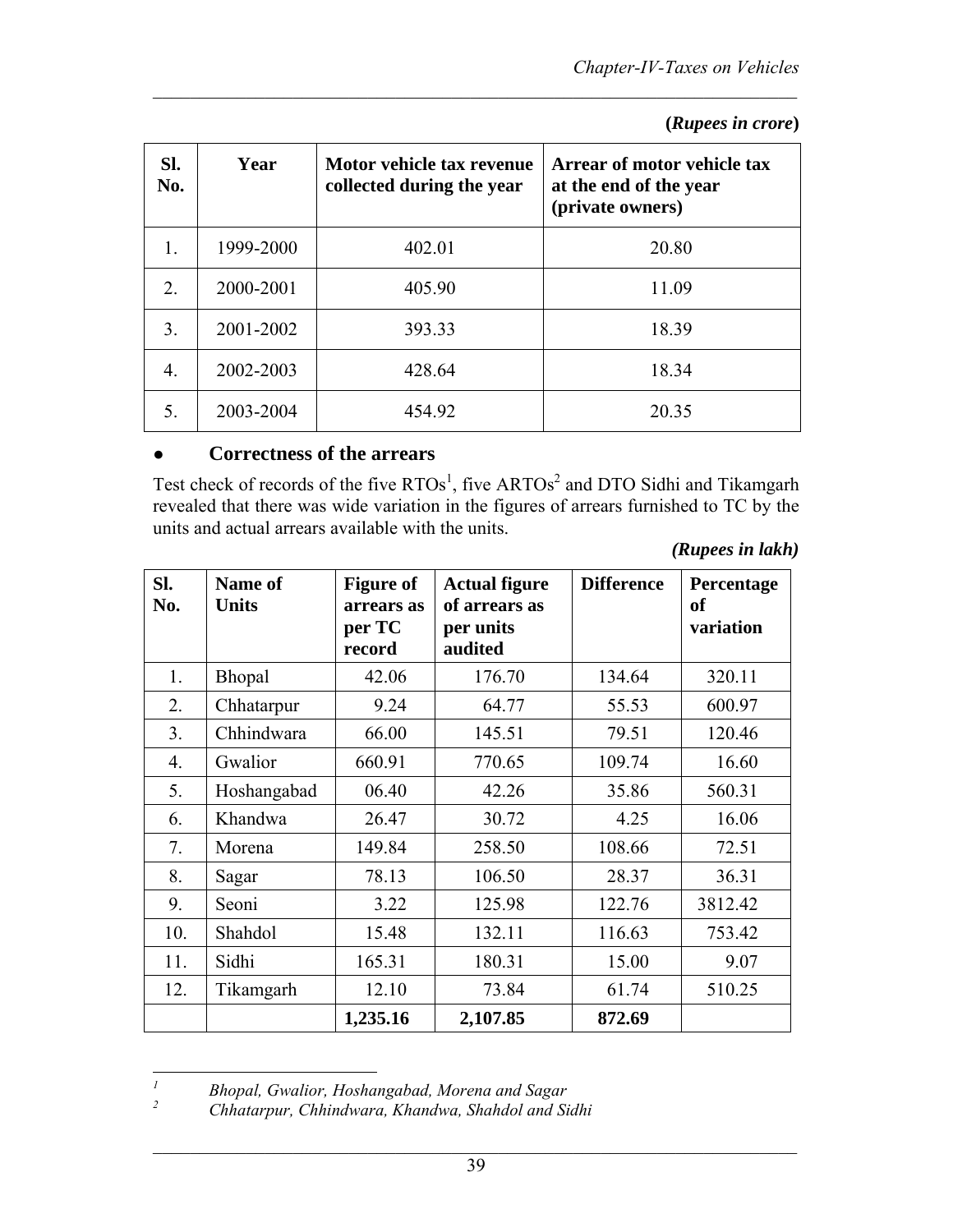| Sl.<br>No. | Year      | Motor vehicle tax revenue<br>collected during the year | Arrear of motor vehicle tax<br>at the end of the year<br>(private owners) |
|------------|-----------|--------------------------------------------------------|---------------------------------------------------------------------------|
|            | 1999-2000 | 402.01                                                 | 20.80                                                                     |
| 2.         | 2000-2001 | 405.90                                                 | 11.09                                                                     |
| 3.         | 2001-2002 | 393.33                                                 | 18.39                                                                     |
| 4.         | 2002-2003 | 428.64                                                 | 18.34                                                                     |
| 5.         | 2003-2004 | 454.92                                                 | 20.35                                                                     |

 **(***Rupees in crore***)** 

#### ● **Correctness of the arrears**

Test check of records of the five  $RTOs<sup>1</sup>$ , five  $ARTOs<sup>2</sup>$  and DTO Sidhi and Tikamgarh revealed that there was wide variation in the figures of arrears furnished to TC by the units and actual arrears available with the units.

 *(Rupees in lakh)*

| Sl.<br>No. | Name of<br><b>Units</b> | <b>Figure of</b><br>arrears as<br>per TC<br>record | <b>Actual figure</b><br>of arrears as<br>per units<br>audited | <b>Difference</b> | Percentage<br><b>of</b><br>variation |
|------------|-------------------------|----------------------------------------------------|---------------------------------------------------------------|-------------------|--------------------------------------|
| 1.         | Bhopal                  | 42.06                                              | 176.70                                                        | 134.64            | 320.11                               |
| 2.         | Chhatarpur              | 9.24                                               | 64.77                                                         | 55.53             | 600.97                               |
| 3.         | Chhindwara              | 66.00                                              | 145.51                                                        | 79.51             | 120.46                               |
| 4.         | Gwalior                 | 660.91                                             | 770.65                                                        | 109.74            | 16.60                                |
| 5.         | Hoshangabad             | 06.40                                              | 42.26                                                         | 35.86             | 560.31                               |
| 6.         | Khandwa                 | 26.47                                              | 30.72                                                         | 4.25              | 16.06                                |
| 7.         | Morena                  | 149.84                                             | 258.50                                                        | 108.66            | 72.51                                |
| 8.         | Sagar                   | 78.13                                              | 106.50                                                        | 28.37             | 36.31                                |
| 9.         | Seoni                   | 3.22                                               | 125.98                                                        | 122.76            | 3812.42                              |
| 10.        | Shahdol                 | 15.48                                              | 132.11                                                        | 116.63            | 753.42                               |
| 11.        | Sidhi                   | 165.31                                             | 180.31                                                        | 15.00             | 9.07                                 |
| 12.        | Tikamgarh               | 12.10                                              | 73.84                                                         | 61.74             | 510.25                               |
|            |                         | 1,235.16                                           | 2,107.85                                                      | 872.69            |                                      |

 *1 Bhopal, Gwalior, Hoshangabad, Morena and Sagar* 

*<sup>2</sup> Chhatarpur, Chhindwara, Khandwa, Shahdol and Sidhi*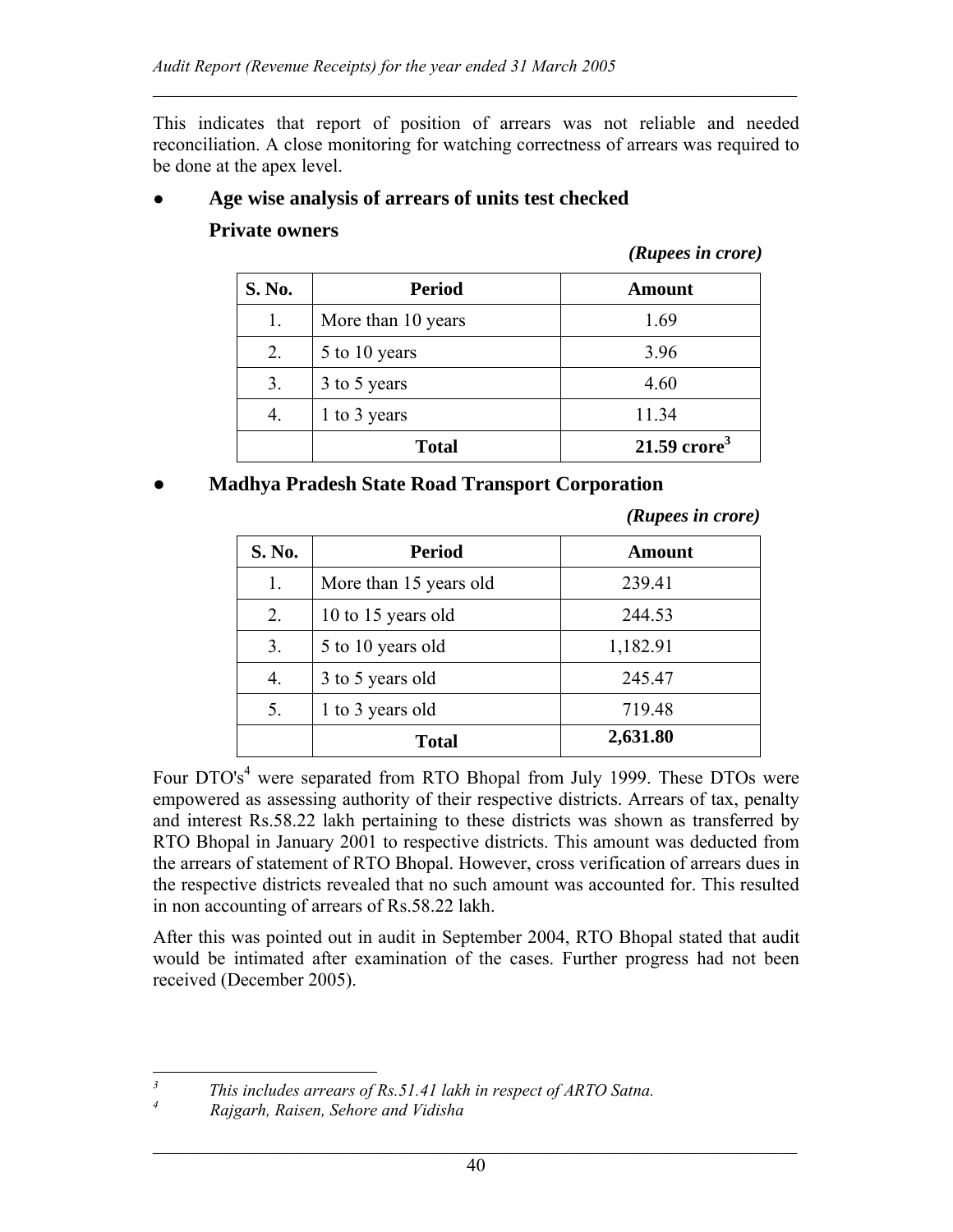This indicates that report of position of arrears was not reliable and needed reconciliation. A close monitoring for watching correctness of arrears was required to be done at the apex level.

 $\mathcal{L}_\mathcal{L} = \mathcal{L}_\mathcal{L} = \mathcal{L}_\mathcal{L} = \mathcal{L}_\mathcal{L} = \mathcal{L}_\mathcal{L} = \mathcal{L}_\mathcal{L} = \mathcal{L}_\mathcal{L} = \mathcal{L}_\mathcal{L} = \mathcal{L}_\mathcal{L} = \mathcal{L}_\mathcal{L} = \mathcal{L}_\mathcal{L} = \mathcal{L}_\mathcal{L} = \mathcal{L}_\mathcal{L} = \mathcal{L}_\mathcal{L} = \mathcal{L}_\mathcal{L} = \mathcal{L}_\mathcal{L} = \mathcal{L}_\mathcal{L}$ 

#### ● **Age wise analysis of arrears of units test checked**

#### **Private owners**

*(Rupees in crore)*

| S. No. | <b>Period</b>      | <b>Amount</b>              |
|--------|--------------------|----------------------------|
| 1.     | More than 10 years | 1.69                       |
| 2.     | 5 to 10 years      | 3.96                       |
| 3.     | 3 to 5 years       | 4.60                       |
|        | 1 to 3 years       | 11.34                      |
|        | <b>Total</b>       | $21.59$ crore <sup>3</sup> |

#### *●* **Madhya Pradesh State Road Transport Corporation**

*(Rupees in crore)*

| S. No. | <b>Period</b>          | Amount   |
|--------|------------------------|----------|
| l.     | More than 15 years old | 239.41   |
| 2.     | 10 to 15 years old     | 244.53   |
| 3.     | 5 to 10 years old      | 1,182.91 |
| 4.     | 3 to 5 years old       | 245.47   |
| 5.     | 1 to 3 years old       | 719.48   |
|        | <b>Total</b>           | 2,631.80 |

Four DTO's<sup>4</sup> were separated from RTO Bhopal from July 1999. These DTOs were empowered as assessing authority of their respective districts. Arrears of tax, penalty and interest Rs.58.22 lakh pertaining to these districts was shown as transferred by RTO Bhopal in January 2001 to respective districts. This amount was deducted from the arrears of statement of RTO Bhopal. However, cross verification of arrears dues in the respective districts revealed that no such amount was accounted for. This resulted in non accounting of arrears of Rs.58.22 lakh.

After this was pointed out in audit in September 2004, RTO Bhopal stated that audit would be intimated after examination of the cases. Further progress had not been received (December 2005).

 *This includes arrears of Rs.51.41 lakh in respect of ARTO Satna.* 

 *Rajgarh, Raisen, Sehore and Vidisha* 

*3*

*4*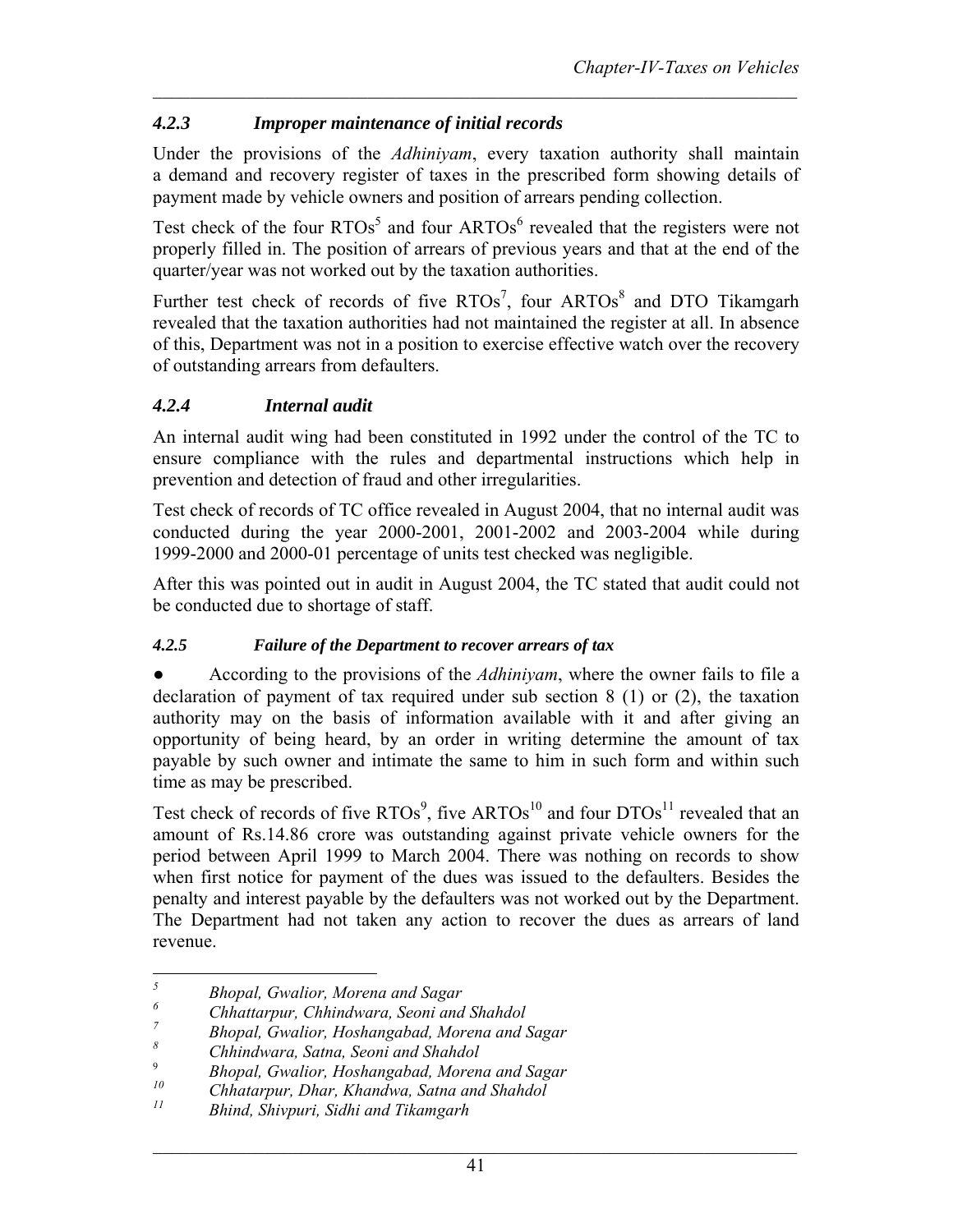## *4.2.3 Improper maintenance of initial records*

Under the provisions of the *Adhiniyam*, every taxation authority shall maintain a demand and recovery register of taxes in the prescribed form showing details of payment made by vehicle owners and position of arrears pending collection.

Test check of the four  $RTOs<sup>5</sup>$  and four ARTOs<sup>6</sup> revealed that the registers were not properly filled in. The position of arrears of previous years and that at the end of the quarter/year was not worked out by the taxation authorities.

Further test check of records of five  $RTOs<sup>7</sup>$ , four  $ARTOs<sup>8</sup>$  and DTO Tikamgarh revealed that the taxation authorities had not maintained the register at all. In absence of this, Department was not in a position to exercise effective watch over the recovery of outstanding arrears from defaulters.

## *4.2.4 Internal audit*

An internal audit wing had been constituted in 1992 under the control of the TC to ensure compliance with the rules and departmental instructions which help in prevention and detection of fraud and other irregularities.

Test check of records of TC office revealed in August 2004, that no internal audit was conducted during the year 2000-2001, 2001-2002 and 2003-2004 while during 1999-2000 and 2000-01 percentage of units test checked was negligible.

After this was pointed out in audit in August 2004, the TC stated that audit could not be conducted due to shortage of staff.

## *4.2.5 Failure of the Department to recover arrears of tax*

According to the provisions of the *Adhiniyam*, where the owner fails to file a declaration of payment of tax required under sub section 8 (1) or (2), the taxation authority may on the basis of information available with it and after giving an opportunity of being heard, by an order in writing determine the amount of tax payable by such owner and intimate the same to him in such form and within such time as may be prescribed.

Test check of records of five RTOs<sup>9</sup>, five ARTOs<sup>10</sup> and four DTOs<sup>11</sup> revealed that an amount of Rs.14.86 crore was outstanding against private vehicle owners for the period between April 1999 to March 2004. There was nothing on records to show when first notice for payment of the dues was issued to the defaulters. Besides the penalty and interest payable by the defaulters was not worked out by the Department. The Department had not taken any action to recover the dues as arrears of land revenue.

 *5 Bhopal, Gwalior, Morena and Sagar* 

*<sup>6</sup> Chhattarpur, Chhindwara, Seoni and Shahdol* 

*<sup>7</sup> Bhopal, Gwalior, Hoshangabad, Morena and Sagar* 

*<sup>8</sup> Chhindwara, Satna, Seoni and Shahdol* 

<sup>9</sup> *Bhopal, Gwalior, Hoshangabad, Morena and Sagar*

*<sup>10</sup> Chhatarpur, Dhar, Khandwa, Satna and Shahdol* 

*<sup>11</sup> Bhind, Shivpuri, Sidhi and Tikamgarh*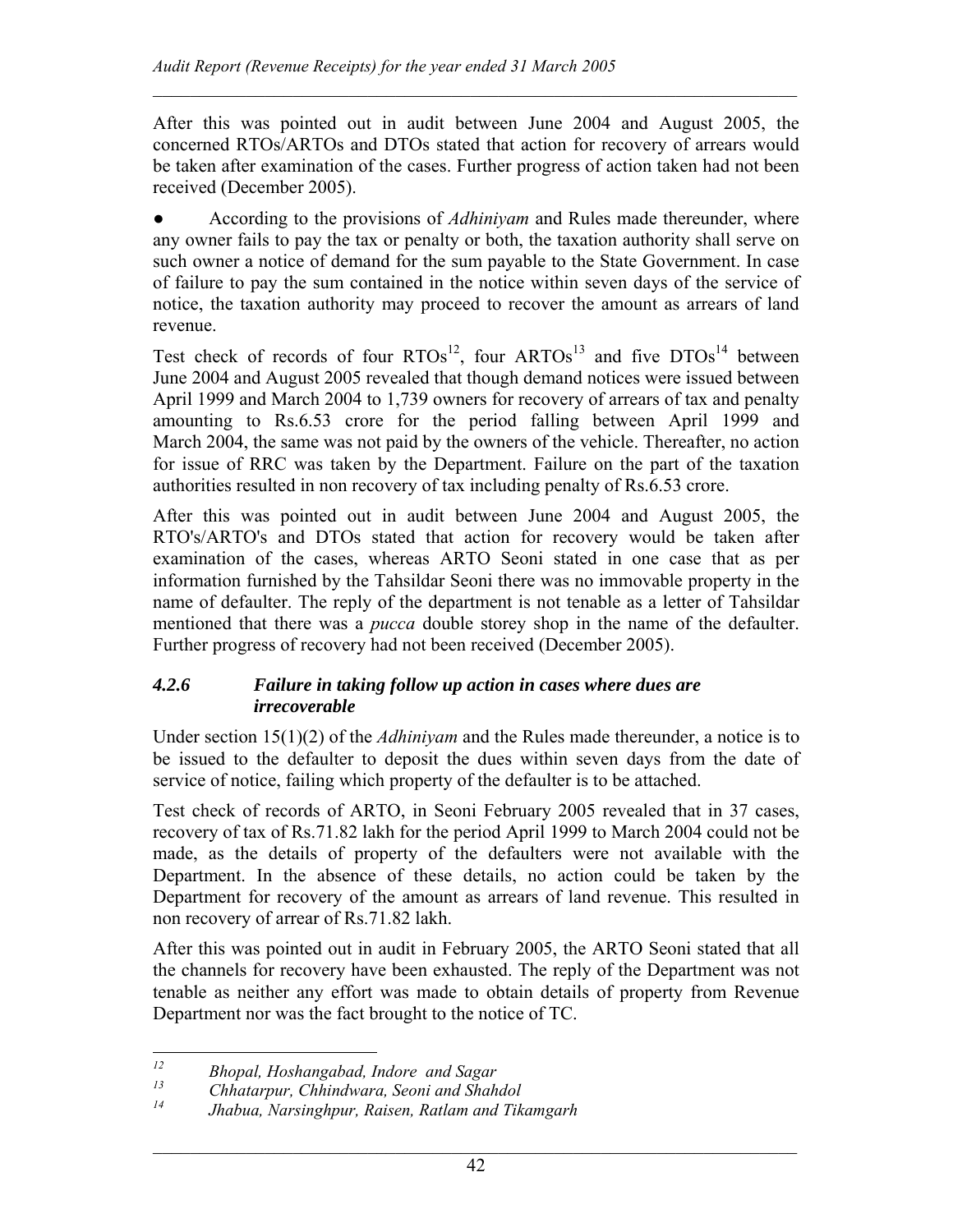After this was pointed out in audit between June 2004 and August 2005, the concerned RTOs/ARTOs and DTOs stated that action for recovery of arrears would be taken after examination of the cases. Further progress of action taken had not been received (December 2005).

 $\mathcal{L}_\mathcal{L} = \mathcal{L}_\mathcal{L} = \mathcal{L}_\mathcal{L} = \mathcal{L}_\mathcal{L} = \mathcal{L}_\mathcal{L} = \mathcal{L}_\mathcal{L} = \mathcal{L}_\mathcal{L} = \mathcal{L}_\mathcal{L} = \mathcal{L}_\mathcal{L} = \mathcal{L}_\mathcal{L} = \mathcal{L}_\mathcal{L} = \mathcal{L}_\mathcal{L} = \mathcal{L}_\mathcal{L} = \mathcal{L}_\mathcal{L} = \mathcal{L}_\mathcal{L} = \mathcal{L}_\mathcal{L} = \mathcal{L}_\mathcal{L}$ 

According to the provisions of *Adhiniyam* and Rules made thereunder, where any owner fails to pay the tax or penalty or both, the taxation authority shall serve on such owner a notice of demand for the sum payable to the State Government. In case of failure to pay the sum contained in the notice within seven days of the service of notice, the taxation authority may proceed to recover the amount as arrears of land revenue.

Test check of records of four  $RTOs^{12}$ , four  $ARTOs^{13}$  and five  $DTOs^{14}$  between June 2004 and August 2005 revealed that though demand notices were issued between April 1999 and March 2004 to 1,739 owners for recovery of arrears of tax and penalty amounting to Rs.6.53 crore for the period falling between April 1999 and March 2004, the same was not paid by the owners of the vehicle. Thereafter, no action for issue of RRC was taken by the Department. Failure on the part of the taxation authorities resulted in non recovery of tax including penalty of Rs.6.53 crore.

After this was pointed out in audit between June 2004 and August 2005, the RTO's/ARTO's and DTOs stated that action for recovery would be taken after examination of the cases, whereas ARTO Seoni stated in one case that as per information furnished by the Tahsildar Seoni there was no immovable property in the name of defaulter. The reply of the department is not tenable as a letter of Tahsildar mentioned that there was a *pucca* double storey shop in the name of the defaulter. Further progress of recovery had not been received (December 2005).

### *4.2.6 Failure in taking follow up action in cases where dues are irrecoverable*

Under section 15(1)(2) of the *Adhiniyam* and the Rules made thereunder, a notice is to be issued to the defaulter to deposit the dues within seven days from the date of service of notice, failing which property of the defaulter is to be attached.

Test check of records of ARTO, in Seoni February 2005 revealed that in 37 cases, recovery of tax of Rs.71.82 lakh for the period April 1999 to March 2004 could not be made, as the details of property of the defaulters were not available with the Department. In the absence of these details, no action could be taken by the Department for recovery of the amount as arrears of land revenue. This resulted in non recovery of arrear of Rs.71.82 lakh.

After this was pointed out in audit in February 2005, the ARTO Seoni stated that all the channels for recovery have been exhausted. The reply of the Department was not tenable as neither any effort was made to obtain details of property from Revenue Department nor was the fact brought to the notice of TC.

 $12$ *12 Bhopal, Hoshangabad, Indore and Sagar* 

*<sup>13</sup> Chhatarpur, Chhindwara, Seoni and Shahdol* 

*<sup>14</sup> Jhabua, Narsinghpur, Raisen, Ratlam and Tikamgarh*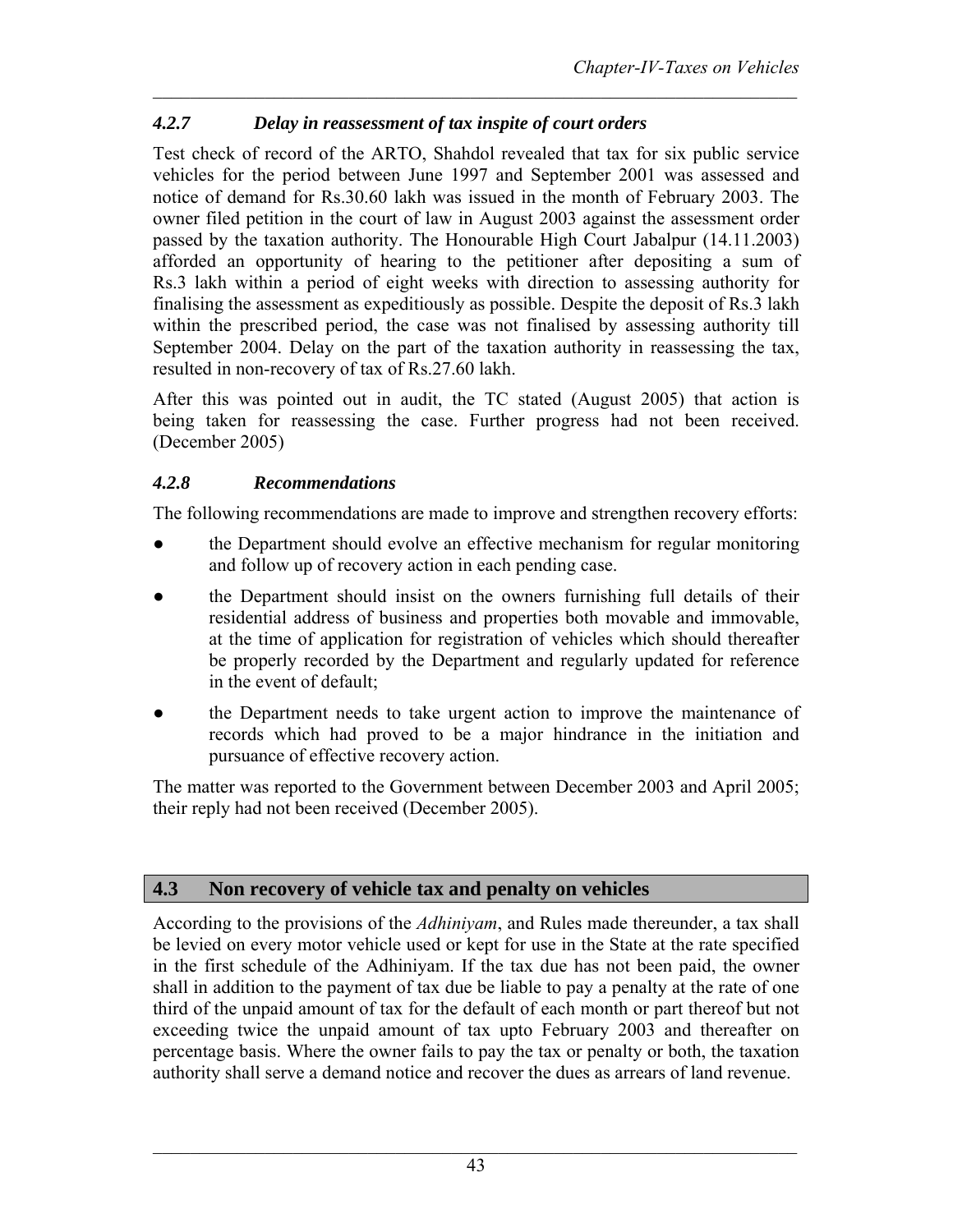# *4.2.7 Delay in reassessment of tax inspite of court orders*

Test check of record of the ARTO, Shahdol revealed that tax for six public service vehicles for the period between June 1997 and September 2001 was assessed and notice of demand for Rs.30.60 lakh was issued in the month of February 2003. The owner filed petition in the court of law in August 2003 against the assessment order passed by the taxation authority. The Honourable High Court Jabalpur (14.11.2003) afforded an opportunity of hearing to the petitioner after depositing a sum of Rs.3 lakh within a period of eight weeks with direction to assessing authority for finalising the assessment as expeditiously as possible. Despite the deposit of Rs.3 lakh within the prescribed period, the case was not finalised by assessing authority till September 2004. Delay on the part of the taxation authority in reassessing the tax, resulted in non-recovery of tax of Rs.27.60 lakh.

After this was pointed out in audit, the TC stated (August 2005) that action is being taken for reassessing the case. Further progress had not been received. (December 2005)

## *4.2.8 Recommendations*

The following recommendations are made to improve and strengthen recovery efforts:

- the Department should evolve an effective mechanism for regular monitoring and follow up of recovery action in each pending case.
- the Department should insist on the owners furnishing full details of their residential address of business and properties both movable and immovable, at the time of application for registration of vehicles which should thereafter be properly recorded by the Department and regularly updated for reference in the event of default;
- the Department needs to take urgent action to improve the maintenance of records which had proved to be a major hindrance in the initiation and pursuance of effective recovery action.

The matter was reported to the Government between December 2003 and April 2005; their reply had not been received (December 2005).

# **4.3 Non recovery of vehicle tax and penalty on vehicles**

According to the provisions of the *Adhiniyam*, and Rules made thereunder, a tax shall be levied on every motor vehicle used or kept for use in the State at the rate specified in the first schedule of the Adhiniyam. If the tax due has not been paid, the owner shall in addition to the payment of tax due be liable to pay a penalty at the rate of one third of the unpaid amount of tax for the default of each month or part thereof but not exceeding twice the unpaid amount of tax upto February 2003 and thereafter on percentage basis. Where the owner fails to pay the tax or penalty or both, the taxation authority shall serve a demand notice and recover the dues as arrears of land revenue.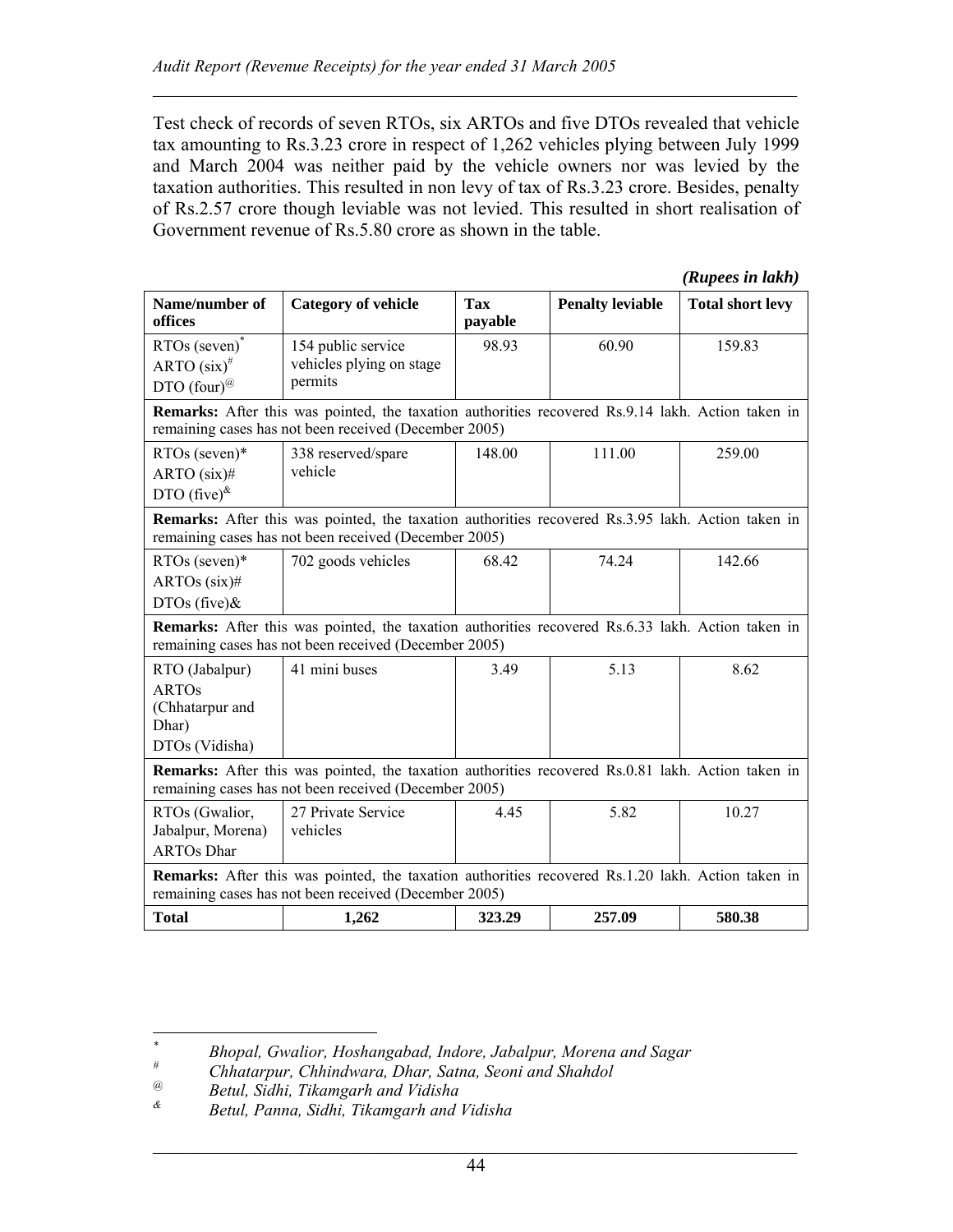Test check of records of seven RTOs, six ARTOs and five DTOs revealed that vehicle tax amounting to Rs.3.23 crore in respect of 1,262 vehicles plying between July 1999 and March 2004 was neither paid by the vehicle owners nor was levied by the taxation authorities. This resulted in non levy of tax of Rs.3.23 crore. Besides, penalty of Rs.2.57 crore though leviable was not levied. This resulted in short realisation of Government revenue of Rs.5.80 crore as shown in the table.

 $\mathcal{L}_\mathcal{L} = \mathcal{L}_\mathcal{L} = \mathcal{L}_\mathcal{L} = \mathcal{L}_\mathcal{L} = \mathcal{L}_\mathcal{L} = \mathcal{L}_\mathcal{L} = \mathcal{L}_\mathcal{L} = \mathcal{L}_\mathcal{L} = \mathcal{L}_\mathcal{L} = \mathcal{L}_\mathcal{L} = \mathcal{L}_\mathcal{L} = \mathcal{L}_\mathcal{L} = \mathcal{L}_\mathcal{L} = \mathcal{L}_\mathcal{L} = \mathcal{L}_\mathcal{L} = \mathcal{L}_\mathcal{L} = \mathcal{L}_\mathcal{L}$ 

*(Rupees in lakh)*

| Name/number of<br>offices                                                                                                                                         | <b>Category of vehicle</b>                                                                                                                                        | <b>Tax</b><br>payable | <b>Penalty leviable</b> | <b>Total short levy</b> |  |
|-------------------------------------------------------------------------------------------------------------------------------------------------------------------|-------------------------------------------------------------------------------------------------------------------------------------------------------------------|-----------------------|-------------------------|-------------------------|--|
| $RTOs$ (seven) <sup>*</sup><br>ARTO $(six)^{\#}$<br>DTO $(four)^@$                                                                                                | 154 public service<br>vehicles plying on stage<br>permits                                                                                                         | 98.93                 | 60.90                   | 159.83                  |  |
|                                                                                                                                                                   | <b>Remarks:</b> After this was pointed, the taxation authorities recovered Rs.9.14 lakh. Action taken in<br>remaining cases has not been received (December 2005) |                       |                         |                         |  |
| $RTOs$ (seven)*<br>ARTO $(six)$ #<br>DTO $(five)^{k}$                                                                                                             | 338 reserved/spare<br>vehicle                                                                                                                                     | 148.00                | 111.00                  | 259.00                  |  |
|                                                                                                                                                                   | <b>Remarks:</b> After this was pointed, the taxation authorities recovered Rs.3.95 lakh. Action taken in<br>remaining cases has not been received (December 2005) |                       |                         |                         |  |
| $RTOs$ (seven)*<br>ARTOs $(six)$ #<br>$DTOs$ (five) &                                                                                                             | 702 goods vehicles                                                                                                                                                | 68.42                 | 74.24                   | 142.66                  |  |
| <b>Remarks:</b> After this was pointed, the taxation authorities recovered Rs.6.33 lakh. Action taken in<br>remaining cases has not been received (December 2005) |                                                                                                                                                                   |                       |                         |                         |  |
| RTO (Jabalpur)<br><b>ARTOs</b><br>(Chhatarpur and<br>Dhar)<br>DTOs (Vidisha)                                                                                      | 41 mini buses                                                                                                                                                     | 3.49                  | 5.13                    | 8.62                    |  |
| <b>Remarks:</b> After this was pointed, the taxation authorities recovered Rs.0.81 lakh. Action taken in<br>remaining cases has not been received (December 2005) |                                                                                                                                                                   |                       |                         |                         |  |
| RTOs (Gwalior,<br>Jabalpur, Morena)<br><b>ARTOs Dhar</b>                                                                                                          | 27 Private Service<br>vehicles                                                                                                                                    | 4.45                  | 5.82                    | 10.27                   |  |
| Remarks: After this was pointed, the taxation authorities recovered Rs.1.20 lakh. Action taken in<br>remaining cases has not been received (December 2005)        |                                                                                                                                                                   |                       |                         |                         |  |
| <b>Total</b>                                                                                                                                                      | 1,262                                                                                                                                                             | 323.29                | 257.09                  | 580.38                  |  |

 $\overline{a}$ 

*<sup>\*</sup> Bhopal, Gwalior, Hoshangabad, Indore, Jabalpur, Morena and Sagar #*

*Chhatarpur, Chhindwara, Dhar, Satna, Seoni and Shahdol* 

*<sup>@</sup> Betul, Sidhi, Tikamgarh and Vidisha*

*<sup>&</sup>amp; Betul, Panna, Sidhi, Tikamgarh and Vidisha*